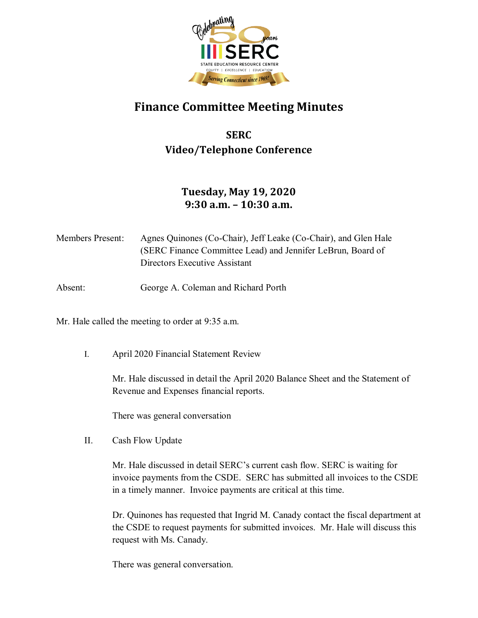

## **Finance Committee Meeting Minutes**

## **SERC Video/Telephone Conference**

## **Tuesday, May 19, 2020 9:30 a.m. – 10:30 a.m.**

Members Present: Agnes Quinones (Co-Chair), Jeff Leake (Co-Chair), and Glen Hale (SERC Finance Committee Lead) and Jennifer LeBrun, Board of Directors Executive Assistant

Absent: George A. Coleman and Richard Porth

Mr. Hale called the meeting to order at 9:35 a.m.

I. April 2020 Financial Statement Review

Mr. Hale discussed in detail the April 2020 Balance Sheet and the Statement of Revenue and Expenses financial reports.

There was general conversation

II. Cash Flow Update

Mr. Hale discussed in detail SERC's current cash flow. SERC is waiting for invoice payments from the CSDE. SERC has submitted all invoices to the CSDE in a timely manner. Invoice payments are critical at this time.

Dr. Quinones has requested that Ingrid M. Canady contact the fiscal department at the CSDE to request payments for submitted invoices. Mr. Hale will discuss this request with Ms. Canady.

There was general conversation.